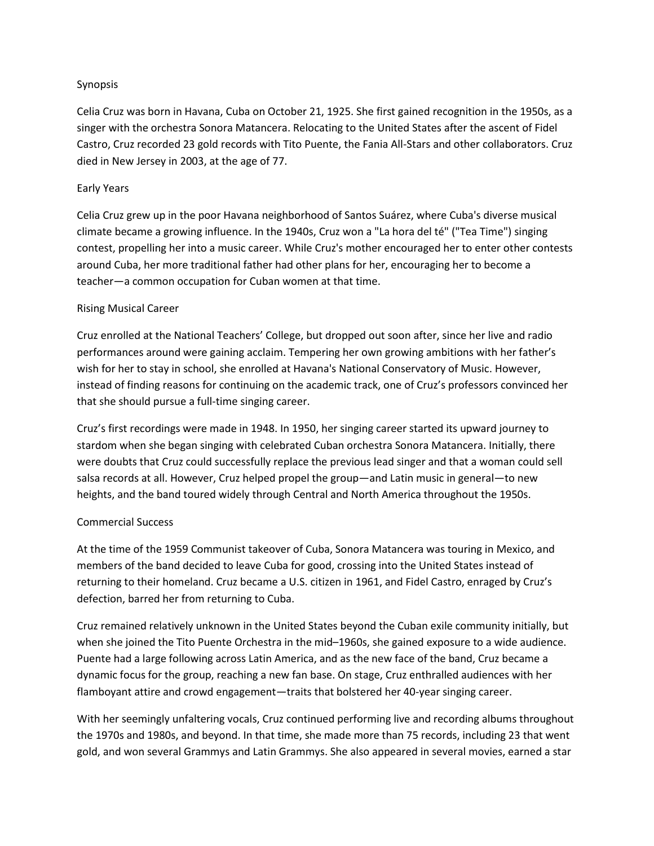## Synopsis

Celia Cruz was born in Havana, Cuba on October 21, 1925. She first gained recognition in the 1950s, as a singer with the orchestra Sonora Matancera. Relocating to the United States after the ascent of Fidel Castro, Cruz recorded 23 gold records with Tito Puente, the Fania All-Stars and other collaborators. Cruz died in New Jersey in 2003, at the age of 77.

## Early Years

Celia Cruz grew up in the poor Havana neighborhood of Santos Suárez, where Cuba's diverse musical climate became a growing influence. In the 1940s, Cruz won a "La hora del té" ("Tea Time") singing contest, propelling her into a music career. While Cruz's mother encouraged her to enter other contests around Cuba, her more traditional father had other plans for her, encouraging her to become a teacher—a common occupation for Cuban women at that time.

## Rising Musical Career

Cruz enrolled at the National Teachers' College, but dropped out soon after, since her live and radio performances around were gaining acclaim. Tempering her own growing ambitions with her father's wish for her to stay in school, she enrolled at Havana's National Conservatory of Music. However, instead of finding reasons for continuing on the academic track, one of Cruz's professors convinced her that she should pursue a full-time singing career.

Cruz's first recordings were made in 1948. In 1950, her singing career started its upward journey to stardom when she began singing with celebrated Cuban orchestra Sonora Matancera. Initially, there were doubts that Cruz could successfully replace the previous lead singer and that a woman could sell salsa records at all. However, Cruz helped propel the group—and Latin music in general—to new heights, and the band toured widely through Central and North America throughout the 1950s.

## Commercial Success

At the time of the 1959 Communist takeover of Cuba, Sonora Matancera was touring in Mexico, and members of the band decided to leave Cuba for good, crossing into the United States instead of returning to their homeland. Cruz became a U.S. citizen in 1961, and Fidel Castro, enraged by Cruz's defection, barred her from returning to Cuba.

Cruz remained relatively unknown in the United States beyond the Cuban exile community initially, but when she joined the Tito Puente Orchestra in the mid–1960s, she gained exposure to a wide audience. Puente had a large following across Latin America, and as the new face of the band, Cruz became a dynamic focus for the group, reaching a new fan base. On stage, Cruz enthralled audiences with her flamboyant attire and crowd engagement—traits that bolstered her 40-year singing career.

With her seemingly unfaltering vocals, Cruz continued performing live and recording albums throughout the 1970s and 1980s, and beyond. In that time, she made more than 75 records, including 23 that went gold, and won several Grammys and Latin Grammys. She also appeared in several movies, earned a star